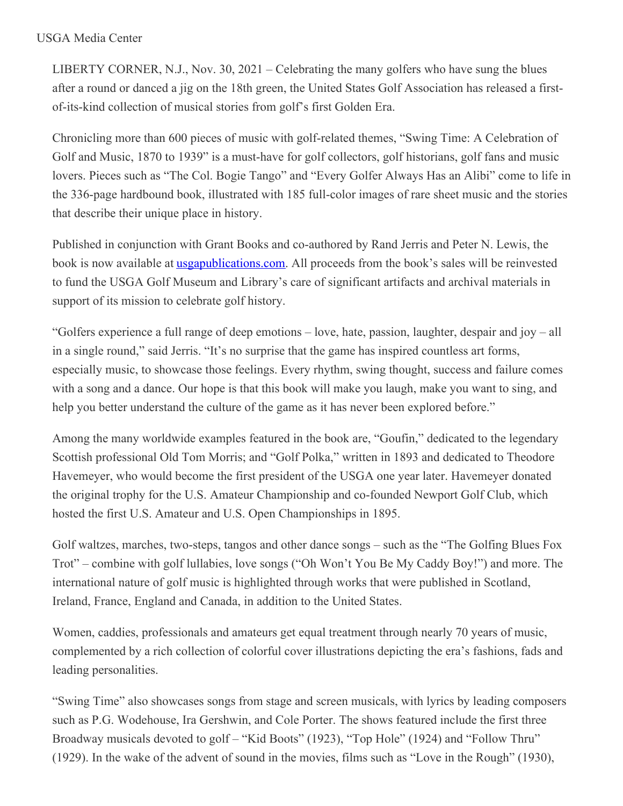## USGA Media Center

LIBERTY CORNER, N.J., Nov. 30, 2021 – Celebrating the many golfers who have sung the blues after a round or danced a jig on the 18th green, the United States Golf Association has released a firstof-its-kind collection of musical stories from golf's first Golden Era.

Chronicling more than 600 pieces of music with golf-related themes, "Swing Time: A Celebration of Golf and Music, 1870 to 1939" is a must-have for golf collectors, golf historians, golf fans and music lovers. Pieces such as "The Col. Bogie Tango" and "Every Golfer Always Has an Alibi" come to life in the 336-page hardbound book, illustrated with 185 full-color images of rare sheet music and the stories that describe their unique place in history.

Published in conjunction with Grant Books and co-authored by Rand Jerris and Peter N. Lewis, the book is now available at <u>[usgapublications.com](https://bit.ly/3D0QO61)</u>. All proceeds from the book's sales will be reinvested to fund the USGA Golf Museum and Library's care of significant artifacts and archival materials in support of its mission to celebrate golf history.

"Golfers experience a full range of deep emotions – love, hate, passion, laughter, despair and joy – all in a single round," said Jerris. "It's no surprise that the game has inspired countless art forms, especially music, to showcase those feelings. Every rhythm, swing thought, success and failure comes with a song and a dance. Our hope is that this book will make you laugh, make you want to sing, and help you better understand the culture of the game as it has never been explored before."

Among the many worldwide examples featured in the book are, "Goufin," dedicated to the legendary Scottish professional Old Tom Morris; and "Golf Polka," written in 1893 and dedicated to Theodore Havemeyer, who would become the first president of the USGA one year later. Havemeyer donated the original trophy for the U.S. Amateur Championship and co-founded Newport Golf Club, which hosted the first U.S. Amateur and U.S. Open Championships in 1895.

Golf waltzes, marches, two-steps, tangos and other dance songs – such as the "The Golfing Blues Fox Trot" – combine with golf lullabies, love songs ("Oh Won't You Be My Caddy Boy!") and more. The international nature of golf music is highlighted through works that were published in Scotland, Ireland, France, England and Canada, in addition to the United States.

Women, caddies, professionals and amateurs get equal treatment through nearly 70 years of music, complemented by a rich collection of colorful cover illustrations depicting the era's fashions, fads and leading personalities.

"Swing Time" also showcases songs from stage and screen musicals, with lyrics by leading composers such as P.G. Wodehouse, Ira Gershwin, and Cole Porter. The shows featured include the first three Broadway musicals devoted to golf – "Kid Boots" (1923), "Top Hole" (1924) and "Follow Thru" (1929). In the wake of the advent of sound in the movies, films such as "Love in the Rough" (1930),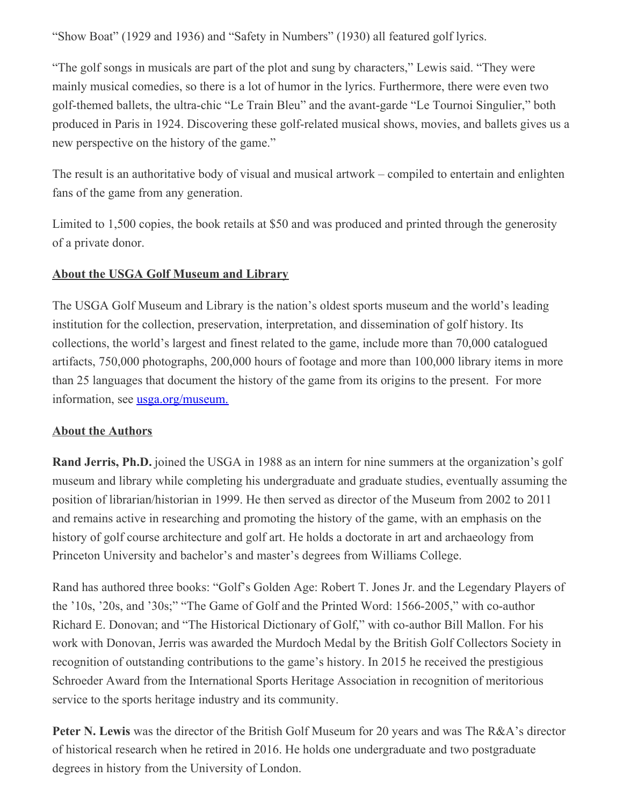"Show Boat" (1929 and 1936) and "Safety in Numbers" (1930) all featured golf lyrics.

"The golf songs in musicals are part of the plot and sung by characters," Lewis said. "They were mainly musical comedies, so there is a lot of humor in the lyrics. Furthermore, there were even two golf-themed ballets, the ultra-chic "Le Train Bleu" and the avant-garde "Le Tournoi Singulier," both produced in Paris in 1924. Discovering these golf-related musical shows, movies, and ballets gives us a new perspective on the history of the game."

The result is an authoritative body of visual and musical artwork – compiled to entertain and enlighten fans of the game from any generation.

Limited to 1,500 copies, the book retails at \$50 and was produced and printed through the generosity of a private donor.

## **About the USGA Golf Museum and Library**

The USGA Golf Museum and Library is the nation's oldest sports museum and the world's leading institution for the collection, preservation, interpretation, and dissemination of golf history. Its collections, the world's largest and finest related to the game, include more than 70,000 catalogued artifacts, 750,000 photographs, 200,000 hours of footage and more than 100,000 library items in more than 25 languages that document the history of the game from its origins to the present. For more information, see [usga.org/museum.](https://www.usga.org/content/usga/home-page/usga-golf-museum.html)

## **About the Authors**

**Rand Jerris, Ph.D.** joined the USGA in 1988 as an intern for nine summers at the organization's golf museum and library while completing his undergraduate and graduate studies, eventually assuming the position of librarian/historian in 1999. He then served as director of the Museum from 2002 to 2011 and remains active in researching and promoting the history of the game, with an emphasis on the history of golf course architecture and golf art. He holds a doctorate in art and archaeology from Princeton University and bachelor's and master's degrees from Williams College.

Rand has authored three books: "Golf's Golden Age: Robert T. Jones Jr. and the Legendary Players of the '10s, '20s, and '30s;" "The Game of Golf and the Printed Word: 1566-2005," with co-author Richard E. Donovan; and "The Historical Dictionary of Golf," with co-author Bill Mallon. For his work with Donovan, Jerris was awarded the Murdoch Medal by the British Golf Collectors Society in recognition of outstanding contributions to the game's history. In 2015 he received the prestigious Schroeder Award from the International Sports Heritage Association in recognition of meritorious service to the sports heritage industry and its community.

**Peter N. Lewis** was the director of the British Golf Museum for 20 years and was The R&A's director of historical research when he retired in 2016. He holds one undergraduate and two postgraduate degrees in history from the University of London.